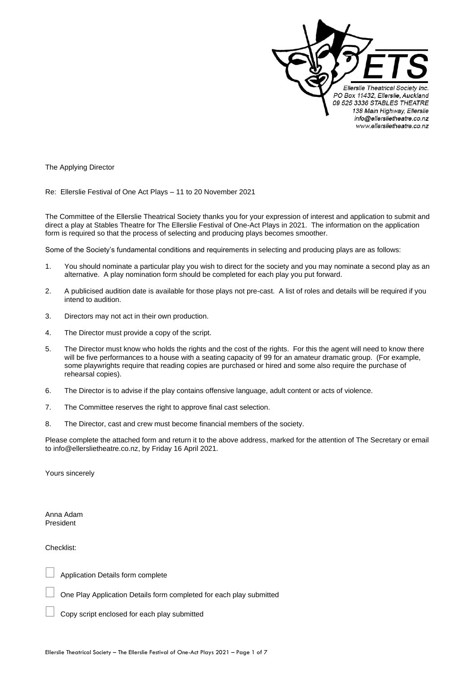

The Applying Director

Re: Ellerslie Festival of One Act Plays – 11 to 20 November 2021

The Committee of the Ellerslie Theatrical Society thanks you for your expression of interest and application to submit and direct a play at Stables Theatre for The Ellerslie Festival of One-Act Plays in 2021. The information on the application form is required so that the process of selecting and producing plays becomes smoother.

Some of the Society's fundamental conditions and requirements in selecting and producing plays are as follows:

- 1. You should nominate a particular play you wish to direct for the society and you may nominate a second play as an alternative. A play nomination form should be completed for each play you put forward.
- 2. A publicised audition date is available for those plays not pre-cast. A list of roles and details will be required if you intend to audition.
- 3. Directors may not act in their own production.
- 4. The Director must provide a copy of the script.
- 5. The Director must know who holds the rights and the cost of the rights. For this the agent will need to know there will be five performances to a house with a seating capacity of 99 for an amateur dramatic group. (For example, some playwrights require that reading copies are purchased or hired and some also require the purchase of rehearsal copies).
- 6. The Director is to advise if the play contains offensive language, adult content or acts of violence.
- 7. The Committee reserves the right to approve final cast selection.
- 8. The Director, cast and crew must become financial members of the society.

Please complete the attached form and return it to the above address, marked for the attention of The Secretary or email to info@ellerslietheatre.co.nz, by Friday 16 April 2021.

Yours sincerely

Anna Adam President

Checklist:

Application Details form complete

One Play Application Details form completed for each play submitted

Copy script enclosed for each play submitted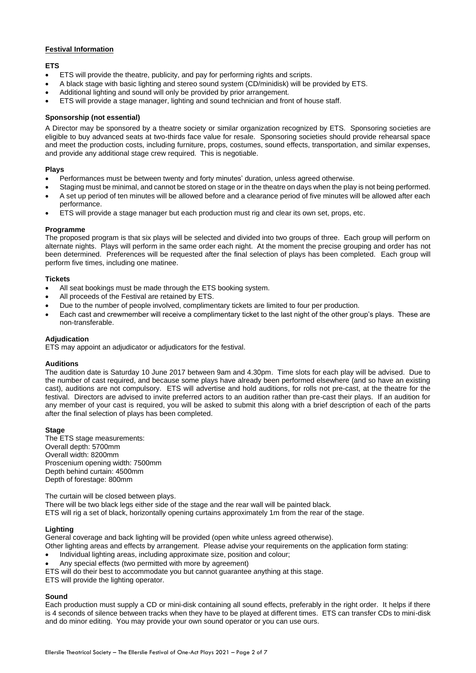## **Festival Information**

## **ETS**

- ETS will provide the theatre, publicity, and pay for performing rights and scripts.
- A black stage with basic lighting and stereo sound system (CD/minidisk) will be provided by ETS.
- Additional lighting and sound will only be provided by prior arrangement.
- ETS will provide a stage manager, lighting and sound technician and front of house staff.

## **Sponsorship (not essential)**

A Director may be sponsored by a theatre society or similar organization recognized by ETS. Sponsoring societies are eligible to buy advanced seats at two-thirds face value for resale. Sponsoring societies should provide rehearsal space and meet the production costs, including furniture, props, costumes, sound effects, transportation, and similar expenses, and provide any additional stage crew required. This is negotiable.

### **Plays**

- Performances must be between twenty and forty minutes' duration, unless agreed otherwise.
- Staging must be minimal, and cannot be stored on stage or in the theatre on days when the play is not being performed.
- A set up period of ten minutes will be allowed before and a clearance period of five minutes will be allowed after each performance.
- ETS will provide a stage manager but each production must rig and clear its own set, props, etc.

### **Programme**

The proposed program is that six plays will be selected and divided into two groups of three. Each group will perform on alternate nights. Plays will perform in the same order each night. At the moment the precise grouping and order has not been determined. Preferences will be requested after the final selection of plays has been completed. Each group will perform five times, including one matinee.

### **Tickets**

- All seat bookings must be made through the ETS booking system.
- All proceeds of the Festival are retained by ETS.
- Due to the number of people involved, complimentary tickets are limited to four per production.
- Each cast and crewmember will receive a complimentary ticket to the last night of the other group's plays. These are non-transferable.

### **Adjudication**

ETS may appoint an adjudicator or adjudicators for the festival.

#### **Auditions**

The audition date is Saturday 10 June 2017 between 9am and 4.30pm. Time slots for each play will be advised. Due to the number of cast required, and because some plays have already been performed elsewhere (and so have an existing cast), auditions are not compulsory. ETS will advertise and hold auditions, for rolls not pre-cast, at the theatre for the festival. Directors are advised to invite preferred actors to an audition rather than pre-cast their plays. If an audition for any member of your cast is required, you will be asked to submit this along with a brief description of each of the parts after the final selection of plays has been completed.

#### **Stage**

The ETS stage measurements: Overall depth: 5700mm Overall width: 8200mm Proscenium opening width: 7500mm Depth behind curtain: 4500mm Depth of forestage: 800mm

The curtain will be closed between plays. There will be two black legs either side of the stage and the rear wall will be painted black. ETS will rig a set of black, horizontally opening curtains approximately 1m from the rear of the stage.

## **Lighting**

General coverage and back lighting will be provided (open white unless agreed otherwise).

Other lighting areas and effects by arrangement. Please advise your requirements on the application form stating:

- Individual lighting areas, including approximate size, position and colour;
- Any special effects (two permitted with more by agreement)

ETS will do their best to accommodate you but cannot guarantee anything at this stage.

ETS will provide the lighting operator.

#### **Sound**

Each production must supply a CD or mini-disk containing all sound effects, preferably in the right order. It helps if there is 4 seconds of silence between tracks when they have to be played at different times. ETS can transfer CDs to mini-disk and do minor editing. You may provide your own sound operator or you can use ours.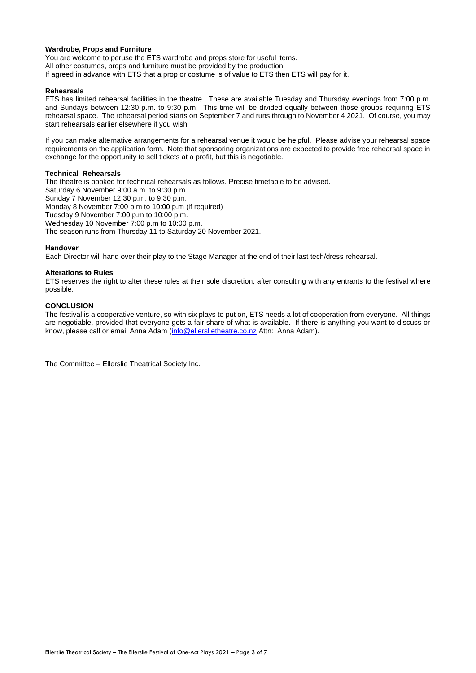### **Wardrobe, Props and Furniture**

You are welcome to peruse the ETS wardrobe and props store for useful items. All other costumes, props and furniture must be provided by the production. If agreed in advance with ETS that a prop or costume is of value to ETS then ETS will pay for it.

### **Rehearsals**

ETS has limited rehearsal facilities in the theatre. These are available Tuesday and Thursday evenings from 7:00 p.m. and Sundays between 12:30 p.m. to 9:30 p.m. This time will be divided equally between those groups requiring ETS rehearsal space. The rehearsal period starts on September 7 and runs through to November 4 2021. Of course, you may start rehearsals earlier elsewhere if you wish.

If you can make alternative arrangements for a rehearsal venue it would be helpful. Please advise your rehearsal space requirements on the application form. Note that sponsoring organizations are expected to provide free rehearsal space in exchange for the opportunity to sell tickets at a profit, but this is negotiable.

### **Technical Rehearsals**

The theatre is booked for technical rehearsals as follows. Precise timetable to be advised. Saturday 6 November 9:00 a.m. to 9:30 p.m. Sunday 7 November 12:30 p.m. to 9:30 p.m. Monday 8 November 7:00 p.m to 10:00 p.m (if required) Tuesday 9 November 7:00 p.m to 10:00 p.m. Wednesday 10 November 7:00 p.m to 10:00 p.m. The season runs from Thursday 11 to Saturday 20 November 2021.

#### **Handover**

Each Director will hand over their play to the Stage Manager at the end of their last tech/dress rehearsal.

### **Alterations to Rules**

ETS reserves the right to alter these rules at their sole discretion, after consulting with any entrants to the festival where possible.

#### **CONCLUSION**

The festival is a cooperative venture, so with six plays to put on, ETS needs a lot of cooperation from everyone. All things are negotiable, provided that everyone gets a fair share of what is available. If there is anything you want to discuss or know, please call or email Anna Adam [\(info@ellerslietheatre.co.nz](mailto:info@ellerslietheatre.co.nz) Attn: Anna Adam).

The Committee – Ellerslie Theatrical Society Inc.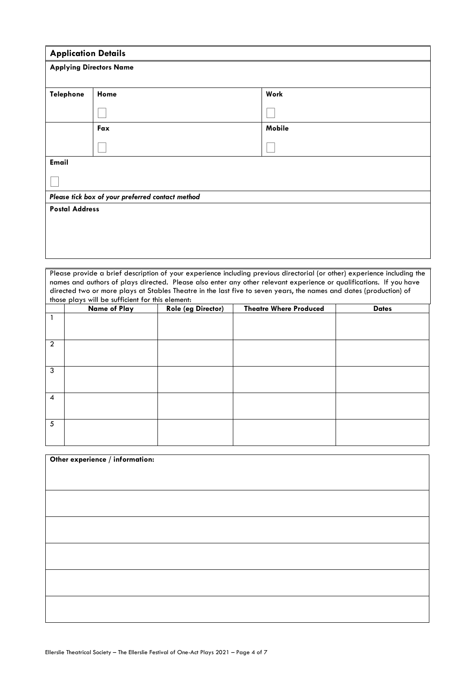|                       | <b>Application Details</b><br><b>Applying Directors Name</b> |        |  |  |  |
|-----------------------|--------------------------------------------------------------|--------|--|--|--|
|                       |                                                              |        |  |  |  |
| Telephone             | Work<br>Home                                                 |        |  |  |  |
|                       |                                                              |        |  |  |  |
|                       |                                                              |        |  |  |  |
|                       | Fax                                                          | Mobile |  |  |  |
|                       |                                                              |        |  |  |  |
| Email                 |                                                              |        |  |  |  |
|                       |                                                              |        |  |  |  |
|                       | Please tick box of your preferred contact method             |        |  |  |  |
| <b>Postal Address</b> |                                                              |        |  |  |  |
|                       |                                                              |        |  |  |  |
|                       |                                                              |        |  |  |  |
|                       |                                                              |        |  |  |  |
|                       |                                                              |        |  |  |  |

Please provide a brief description of your experience including previous directorial (or other) experience including the names and authors of plays directed. Please also enter any other relevant experience or qualifications. If you have directed two or more plays at Stables Theatre in the last five to seven years, the names and dates (production) of those plays will be sufficient for this element:

|                 | <b>Name of Play</b> | Role (eg Director) | <b>Theatre Where Produced</b> | <b>Dates</b> |
|-----------------|---------------------|--------------------|-------------------------------|--------------|
|                 |                     |                    |                               |              |
| $\overline{2}$  |                     |                    |                               |              |
| $\mathbf{3}$    |                     |                    |                               |              |
| $\overline{4}$  |                     |                    |                               |              |
| $5\overline{5}$ |                     |                    |                               |              |

| Other experience / information: |  |
|---------------------------------|--|
|                                 |  |
|                                 |  |
|                                 |  |
|                                 |  |
|                                 |  |
|                                 |  |
|                                 |  |
|                                 |  |
|                                 |  |
|                                 |  |
|                                 |  |
|                                 |  |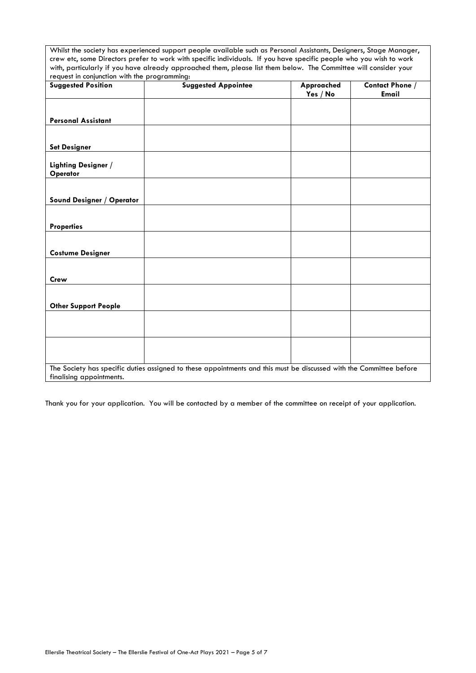Whilst the society has experienced support people available such as Personal Assistants, Designers, Stage Manager, crew etc, some Directors prefer to work with specific individuals. If you have specific people who you wish to work with, particularly if you have already approached them, please list them below. The Committee will consider your request in conjunction with the programming:

| <b>Suggested Position</b>       | <b>Suggested Appointee</b>                                                                                          | Approached<br>Yes / No | <b>Contact Phone /</b><br>Email |
|---------------------------------|---------------------------------------------------------------------------------------------------------------------|------------------------|---------------------------------|
|                                 |                                                                                                                     |                        |                                 |
| <b>Personal Assistant</b>       |                                                                                                                     |                        |                                 |
| <b>Set Designer</b>             |                                                                                                                     |                        |                                 |
| Lighting Designer /<br>Operator |                                                                                                                     |                        |                                 |
| Sound Designer / Operator       |                                                                                                                     |                        |                                 |
|                                 |                                                                                                                     |                        |                                 |
| <b>Properties</b>               |                                                                                                                     |                        |                                 |
|                                 |                                                                                                                     |                        |                                 |
| <b>Costume Designer</b>         |                                                                                                                     |                        |                                 |
| <b>Crew</b>                     |                                                                                                                     |                        |                                 |
|                                 |                                                                                                                     |                        |                                 |
| <b>Other Support People</b>     |                                                                                                                     |                        |                                 |
|                                 |                                                                                                                     |                        |                                 |
|                                 |                                                                                                                     |                        |                                 |
|                                 |                                                                                                                     |                        |                                 |
|                                 | The Society has specific duties assigned to these appointments and this must be discussed with the Committee before |                        |                                 |
| finalising appointments.        |                                                                                                                     |                        |                                 |

Thank you for your application. You will be contacted by a member of the committee on receipt of your application.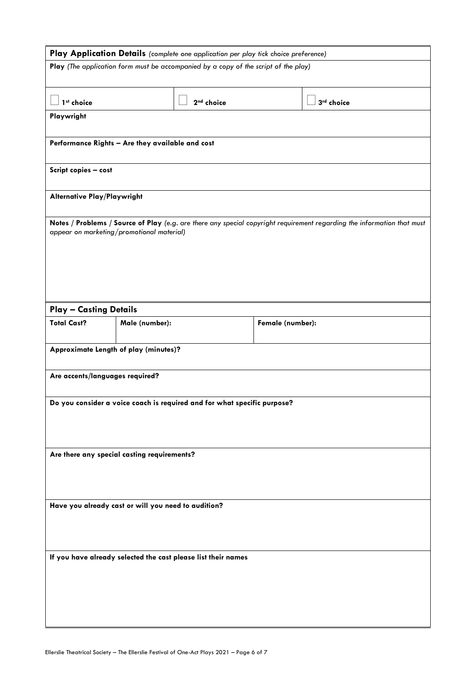| Play Application Details (complete one application per play tick choice preference) |                |                                                                                     |                  |                                                                                                                         |
|-------------------------------------------------------------------------------------|----------------|-------------------------------------------------------------------------------------|------------------|-------------------------------------------------------------------------------------------------------------------------|
|                                                                                     |                | Play (The application form must be accompanied by a copy of the script of the play) |                  |                                                                                                                         |
|                                                                                     |                |                                                                                     |                  |                                                                                                                         |
| 1 <sup>st</sup> choice                                                              |                | 2 <sup>nd</sup> choice                                                              |                  | 3rd choice                                                                                                              |
| Playwright                                                                          |                |                                                                                     |                  |                                                                                                                         |
|                                                                                     |                |                                                                                     |                  |                                                                                                                         |
| Performance Rights - Are they available and cost                                    |                |                                                                                     |                  |                                                                                                                         |
| Script copies - cost                                                                |                |                                                                                     |                  |                                                                                                                         |
|                                                                                     |                |                                                                                     |                  |                                                                                                                         |
| <b>Alternative Play/Playwright</b>                                                  |                |                                                                                     |                  |                                                                                                                         |
|                                                                                     |                |                                                                                     |                  | Notes / Problems / Source of Play (e.g. are there any special copyright requirement regarding the information that must |
| appear on marketing/promotional material)                                           |                |                                                                                     |                  |                                                                                                                         |
|                                                                                     |                |                                                                                     |                  |                                                                                                                         |
|                                                                                     |                |                                                                                     |                  |                                                                                                                         |
|                                                                                     |                |                                                                                     |                  |                                                                                                                         |
|                                                                                     |                |                                                                                     |                  |                                                                                                                         |
| <b>Play - Casting Details</b>                                                       |                |                                                                                     |                  |                                                                                                                         |
| <b>Total Cast?</b>                                                                  | Male (number): |                                                                                     | Female (number): |                                                                                                                         |
|                                                                                     |                |                                                                                     |                  |                                                                                                                         |
| Approximate Length of play (minutes)?                                               |                |                                                                                     |                  |                                                                                                                         |
| Are accents/languages required?                                                     |                |                                                                                     |                  |                                                                                                                         |
|                                                                                     |                |                                                                                     |                  |                                                                                                                         |
|                                                                                     |                | Do you consider a voice coach is required and for what specific purpose?            |                  |                                                                                                                         |
|                                                                                     |                |                                                                                     |                  |                                                                                                                         |
|                                                                                     |                |                                                                                     |                  |                                                                                                                         |
| Are there any special casting requirements?                                         |                |                                                                                     |                  |                                                                                                                         |
|                                                                                     |                |                                                                                     |                  |                                                                                                                         |
|                                                                                     |                |                                                                                     |                  |                                                                                                                         |
| Have you already cast or will you need to audition?                                 |                |                                                                                     |                  |                                                                                                                         |
|                                                                                     |                |                                                                                     |                  |                                                                                                                         |
|                                                                                     |                |                                                                                     |                  |                                                                                                                         |
| If you have already selected the cast please list their names                       |                |                                                                                     |                  |                                                                                                                         |
|                                                                                     |                |                                                                                     |                  |                                                                                                                         |
|                                                                                     |                |                                                                                     |                  |                                                                                                                         |
|                                                                                     |                |                                                                                     |                  |                                                                                                                         |
|                                                                                     |                |                                                                                     |                  |                                                                                                                         |
|                                                                                     |                |                                                                                     |                  |                                                                                                                         |